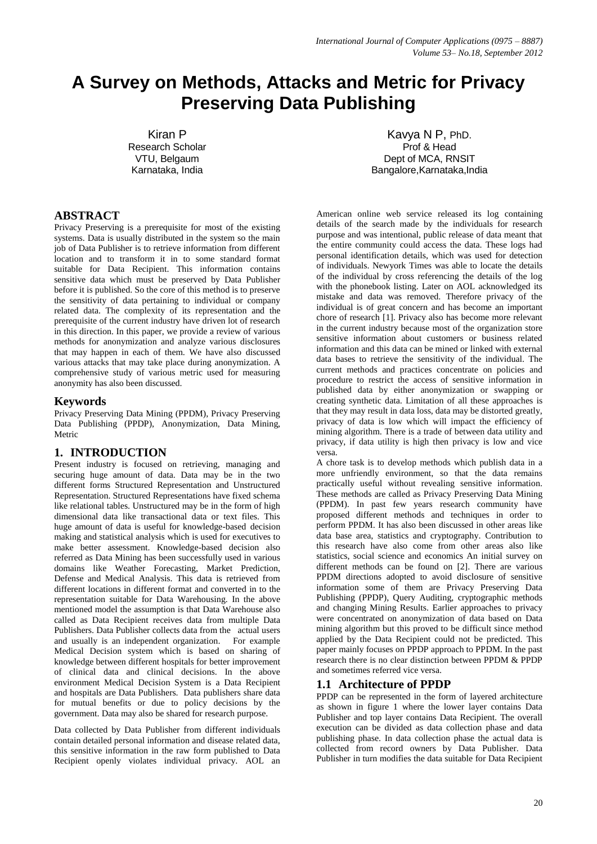# **A Survey on Methods, Attacks and Metric for Privacy Preserving Data Publishing**

Kiran P Research Scholar VTU, Belgaum Karnataka, India

# **ABSTRACT**

Privacy Preserving is a prerequisite for most of the existing systems. Data is usually distributed in the system so the main job of Data Publisher is to retrieve information from different location and to transform it in to some standard format suitable for Data Recipient. This information contains sensitive data which must be preserved by Data Publisher before it is published. So the core of this method is to preserve the sensitivity of data pertaining to individual or company related data. The complexity of its representation and the prerequisite of the current industry have driven lot of research in this direction. In this paper, we provide a review of various methods for anonymization and analyze various disclosures that may happen in each of them. We have also discussed various attacks that may take place during anonymization. A comprehensive study of various metric used for measuring anonymity has also been discussed.

### **Keywords**

Privacy Preserving Data Mining (PPDM), Privacy Preserving Data Publishing (PPDP), Anonymization, Data Mining, Metric

### **1. INTRODUCTION**

Present industry is focused on retrieving, managing and securing huge amount of data. Data may be in the two different forms Structured Representation and Unstructured Representation. Structured Representations have fixed schema like relational tables. Unstructured may be in the form of high dimensional data like transactional data or text files. This huge amount of data is useful for knowledge-based decision making and statistical analysis which is used for executives to make better assessment. Knowledge-based decision also referred as Data Mining has been successfully used in various domains like Weather Forecasting, Market Prediction, Defense and Medical Analysis. This data is retrieved from different locations in different format and converted in to the representation suitable for Data Warehousing. In the above mentioned model the assumption is that Data Warehouse also called as Data Recipient receives data from multiple Data Publishers. Data Publisher collects data from the actual users and usually is an independent organization. For example Medical Decision system which is based on sharing of knowledge between different hospitals for better improvement of clinical data and clinical decisions. In the above environment Medical Decision System is a Data Recipient and hospitals are Data Publishers. Data publishers share data for mutual benefits or due to policy decisions by the government. Data may also be shared for research purpose.

Data collected by Data Publisher from different individuals contain detailed personal information and disease related data, this sensitive information in the raw form published to Data Recipient openly violates individual privacy. AOL an

Kavya N P, PhD. Prof & Head Dept of MCA, RNSIT Bangalore,Karnataka,India

American online web service released its log containing details of the search made by the individuals for research purpose and was intentional, public release of data meant that the entire community could access the data. These logs had personal identification details, which was used for detection of individuals. Newyork Times was able to locate the details of the individual by cross referencing the details of the log with the phonebook listing. Later on AOL acknowledged its mistake and data was removed. Therefore privacy of the individual is of great concern and has become an important chore of research [1]. Privacy also has become more relevant in the current industry because most of the organization store sensitive information about customers or business related information and this data can be mined or linked with external data bases to retrieve the sensitivity of the individual. The current methods and practices concentrate on policies and procedure to restrict the access of sensitive information in published data by either anonymization or swapping or creating synthetic data. Limitation of all these approaches is that they may result in data loss, data may be distorted greatly, privacy of data is low which will impact the efficiency of mining algorithm. There is a trade of between data utility and privacy, if data utility is high then privacy is low and vice versa.

A chore task is to develop methods which publish data in a more unfriendly environment, so that the data remains practically useful without revealing sensitive information. These methods are called as Privacy Preserving Data Mining (PPDM). In past few years research community have proposed different methods and techniques in order to perform PPDM. It has also been discussed in other areas like data base area, statistics and cryptography. Contribution to this research have also come from other areas also like statistics, social science and economics An initial survey on different methods can be found on [2]. There are various PPDM directions adopted to avoid disclosure of sensitive information some of them are Privacy Preserving Data Publishing (PPDP), Query Auditing, cryptographic methods and changing Mining Results. Earlier approaches to privacy were concentrated on anonymization of data based on Data mining algorithm but this proved to be difficult since method applied by the Data Recipient could not be predicted. This paper mainly focuses on PPDP approach to PPDM. In the past research there is no clear distinction between PPDM & PPDP and sometimes referred vice versa.

### **1.1 Architecture of PPDP**

PPDP can be represented in the form of layered architecture as shown in figure 1 where the lower layer contains Data Publisher and top layer contains Data Recipient. The overall execution can be divided as data collection phase and data publishing phase. In data collection phase the actual data is collected from record owners by Data Publisher. Data Publisher in turn modifies the data suitable for Data Recipient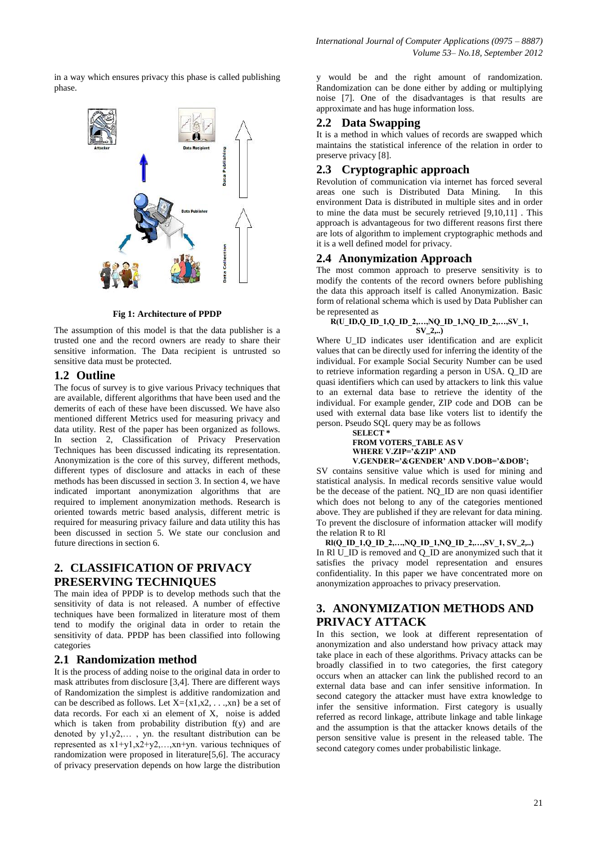in a way which ensures privacy this phase is called publishing phase.



**Fig 1: Architecture of PPDP**

The assumption of this model is that the data publisher is a trusted one and the record owners are ready to share their sensitive information. The Data recipient is untrusted so sensitive data must be protected.

# **1.2 Outline**

The focus of survey is to give various Privacy techniques that are available, different algorithms that have been used and the demerits of each of these have been discussed. We have also mentioned different Metrics used for measuring privacy and data utility. Rest of the paper has been organized as follows. In section 2, Classification of Privacy Preservation Techniques has been discussed indicating its representation. Anonymization is the core of this survey, different methods, different types of disclosure and attacks in each of these methods has been discussed in section 3. In section 4, we have indicated important anonymization algorithms that are required to implement anonymization methods. Research is oriented towards metric based analysis, different metric is required for measuring privacy failure and data utility this has been discussed in section 5. We state our conclusion and future directions in section 6.

# **2. CLASSIFICATION OF PRIVACY PRESERVING TECHNIQUES**

The main idea of PPDP is to develop methods such that the sensitivity of data is not released. A number of effective techniques have been formalized in literature most of them tend to modify the original data in order to retain the sensitivity of data. PPDP has been classified into following categories

# **2.1 Randomization method**

It is the process of adding noise to the original data in order to mask attributes from disclosure [3,4]. There are different ways of Randomization the simplest is additive randomization and can be described as follows. Let  $X = \{x1, x2, \ldots, xn\}$  be a set of data records. For each xi an element of X, noise is added which is taken from probability distribution f(y) and are denoted by y1,y2,… , yn. the resultant distribution can be represented as x1+y1,x2+y2,…,xn+yn. various techniques of randomization were proposed in literature[5,6]. The accuracy of privacy preservation depends on how large the distribution

y would be and the right amount of randomization. Randomization can be done either by adding or multiplying noise [7]. One of the disadvantages is that results are approximate and has huge information loss.

# **2.2 Data Swapping**

It is a method in which values of records are swapped which maintains the statistical inference of the relation in order to preserve privacy [8].

# **2.3 Cryptographic approach**

Revolution of communication via internet has forced several areas one such is Distributed Data Mining. In this environment Data is distributed in multiple sites and in order to mine the data must be securely retrieved [9,10,11] . This approach is advantageous for two different reasons first there are lots of algorithm to implement cryptographic methods and it is a well defined model for privacy.

# **2.4 Anonymization Approach**

The most common approach to preserve sensitivity is to modify the contents of the record owners before publishing the data this approach itself is called Anonymization. Basic form of relational schema which is used by Data Publisher can be represented as

#### **R(U\_ID,Q\_ID\_1,Q\_ID\_2,…,NQ\_ID\_1,NQ\_ID\_2,…,SV\_1, SV\_2,..)**

Where U<sub>ID</sub> indicates user identification and are explicit values that can be directly used for inferring the identity of the individual. For example Social Security Number can be used to retrieve information regarding a person in USA. Q\_ID are quasi identifiers which can used by attackers to link this value to an external data base to retrieve the identity of the individual. For example gender, ZIP code and DOB can be used with external data base like voters list to identify the person. Pseudo SQL query may be as follows

**SELECT \* FROM VOTERS\_TABLE AS V WHERE V.ZIP='&ZIP' AND V.GENDER='&GENDER' AND V.DOB='&DOB';**

SV contains sensitive value which is used for mining and statistical analysis. In medical records sensitive value would be the decease of the patient. NO ID are non quasi identifier which does not belong to any of the categories mentioned above. They are published if they are relevant for data mining. To prevent the disclosure of information attacker will modify the relation R to Rl

**Rl(Q\_ID\_1,Q\_ID\_2,…,NQ\_ID\_1,NQ\_ID\_2,…,SV\_1, SV\_2,..)** In Rl U\_ID is removed and Q\_ID are anonymized such that it satisfies the privacy model representation and ensures confidentiality. In this paper we have concentrated more on anonymization approaches to privacy preservation.

# **3. ANONYMIZATION METHODS AND PRIVACY ATTACK**

In this section, we look at different representation of anonymization and also understand how privacy attack may take place in each of these algorithms. Privacy attacks can be broadly classified in to two categories, the first category occurs when an attacker can link the published record to an external data base and can infer sensitive information. In second category the attacker must have extra knowledge to infer the sensitive information. First category is usually referred as record linkage, attribute linkage and table linkage and the assumption is that the attacker knows details of the person sensitive value is present in the released table. The second category comes under probabilistic linkage.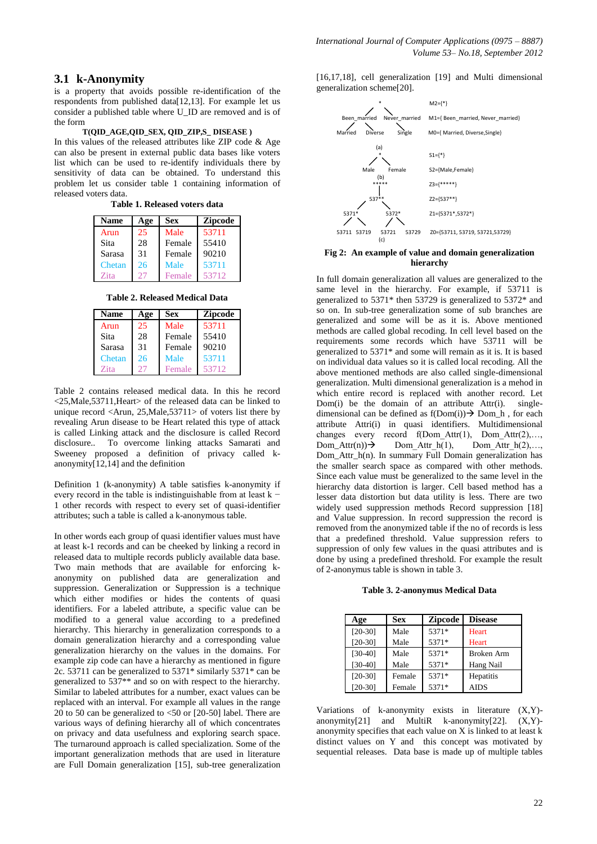### **3.1 k-Anonymity**

is a property that avoids possible re-identification of the respondents from published data[12,13]. For example let us consider a published table where U\_ID are removed and is of the form

#### **T(QID\_AGE,QID\_SEX, QID\_ZIP,S\_ DISEASE )**

In this values of the released attributes like ZIP code & Age can also be present in external public data bases like voters list which can be used to re-identify individuals there by sensitivity of data can be obtained. To understand this problem let us consider table 1 containing information of released voters data.

**Table 1. Released voters data**

| <b>Name</b> | Age | Sex    | <b>Zipcode</b> |
|-------------|-----|--------|----------------|
| Arun        | 25  | Male   | 53711          |
| Sita        | 28  | Female | 55410          |
| Sarasa      | 31  | Female | 90210          |
| Chetan      | 26  | Male   | 53711          |
| Zita        |     | Female | 53712          |

**Table 2. Released Medical Data**

| <b>Name</b> | Age | Sex    | <b>Zipcode</b> |
|-------------|-----|--------|----------------|
| Arun        | 25  | Male   | 53711          |
| Sita        | 28  | Female | 55410          |
| Sarasa      | 31  | Female | 90210          |
| Chetan      | 26  | Male   | 53711          |
| Zita        | 27  | Female | 53712          |

Table 2 contains released medical data. In this he record <25,Male,53711,Heart> of the released data can be linked to unique record <Arun, 25,Male,53711> of voters list there by revealing Arun disease to be Heart related this type of attack is called Linking attack and the disclosure is called Record disclosure.. To overcome linking attacks Samarati and Sweeney proposed a definition of privacy called kanonymity[12,14] and the definition

Definition 1 (k-anonymity) A table satisfies k-anonymity if every record in the table is indistinguishable from at least k − 1 other records with respect to every set of quasi-identifier attributes; such a table is called a k-anonymous table.

In other words each group of quasi identifier values must have at least k-1 records and can be cheeked by linking a record in released data to multiple records publicly available data base. Two main methods that are available for enforcing kanonymity on published data are generalization and suppression. Generalization or Suppression is a technique which either modifies or hides the contents of quasi identifiers. For a labeled attribute, a specific value can be modified to a general value according to a predefined hierarchy. This hierarchy in generalization corresponds to a domain generalization hierarchy and a corresponding value generalization hierarchy on the values in the domains. For example zip code can have a hierarchy as mentioned in figure 2c. 53711 can be generalized to 5371\* similarly 5371\* can be generalized to 537\*\* and so on with respect to the hierarchy. Similar to labeled attributes for a number, exact values can be replaced with an interval. For example all values in the range 20 to 50 can be generalized to  $\leq 50$  or [20-50] label. There are various ways of defining hierarchy all of which concentrates on privacy and data usefulness and exploring search space. The turnaround approach is called specialization. Some of the important generalization methods that are used in literature are Full Domain generalization [15], sub-tree generalization [16,17,18], cell generalization [19] and Multi dimensional generalization scheme[20].



#### **Fig 2: An example of value and domain generalization hierarchy**

In full domain generalization all values are generalized to the same level in the hierarchy. For example, if 53711 is generalized to 5371\* then 53729 is generalized to 5372\* and so on. In sub-tree generalization some of sub branches are generalized and some will be as it is. Above mentioned methods are called global recoding. In cell level based on the requirements some records which have 53711 will be generalized to 5371\* and some will remain as it is. It is based on individual data values so it is called local recoding. All the above mentioned methods are also called single-dimensional generalization. Multi dimensional generalization is a mehod in which entire record is replaced with another record. Let Dom(i) be the domain of an attribute  $Attr(i)$ . singledimensional can be defined as  $f(Dom(i)) \rightarrow Dom(h)$ , for each attribute Attri(i) in quasi identifiers. Multidimensional changes every record f(Dom\_Attr(1), Dom Attr(2),...,  $Dom\_Attr(n)$  Dom Attr  $h(1)$ , Dom Attr  $h(2),...,$ Dom\_Attr\_h(n). In summary Full Domain generalization has the smaller search space as compared with other methods. Since each value must be generalized to the same level in the hierarchy data distortion is larger. Cell based method has a lesser data distortion but data utility is less. There are two widely used suppression methods Record suppression [18] and Value suppression. In record suppression the record is removed from the anonymized table if the no of records is less that a predefined threshold. Value suppression refers to suppression of only few values in the quasi attributes and is done by using a predefined threshold. For example the result of 2-anonymus table is shown in table 3.

**Table 3. 2-anonymus Medical Data**

| Age       | Sex    | <b>Zipcode</b> | <b>Disease</b> |
|-----------|--------|----------------|----------------|
| $[20-30]$ | Male   | 5371*          | <b>Heart</b>   |
| $[20-30]$ | Male   | 5371*          | Heart          |
| $[30-40]$ | Male   | 5371*          | Broken Arm     |
| $[30-40]$ | Male   | 5371*          | Hang Nail      |
| $[20-30]$ | Female | 5371*          | Hepatitis      |
| $[20-30]$ | Female | 5371*          | <b>AIDS</b>    |

Variations of k-anonymity exists in literature (X,Y) anonymity[21] and MultiR  $k$ -anonymity[22].  $(X, Y)$ anonymity specifies that each value on X is linked to at least k distinct values on Y and this concept was motivated by sequential releases. Data base is made up of multiple tables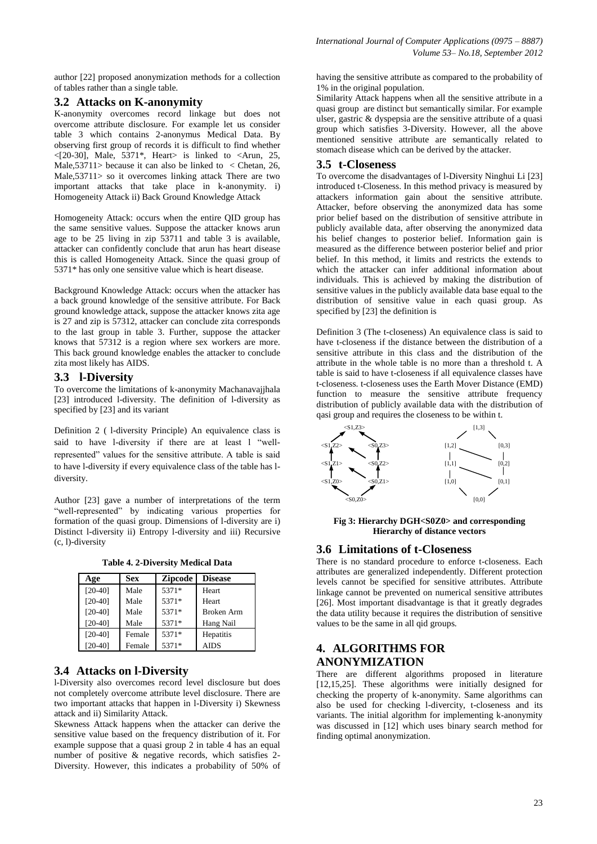author [22] proposed anonymization methods for a collection of tables rather than a single table.

### **3.2 Attacks on K-anonymity**

K-anonymity overcomes record linkage but does not overcome attribute disclosure. For example let us consider table 3 which contains 2-anonymus Medical Data. By observing first group of records it is difficult to find whether <[20-30], Male, 5371\*, Heart> is linked to <Arun, 25, Male,  $53711$  because it can also be linked to < Chetan, 26, Male,53711> so it overcomes linking attack There are two important attacks that take place in k-anonymity. i) Homogeneity Attack ii) Back Ground Knowledge Attack

Homogeneity Attack: occurs when the entire QID group has the same sensitive values. Suppose the attacker knows arun age to be 25 living in zip 53711 and table 3 is available, attacker can confidently conclude that arun has heart disease this is called Homogeneity Attack. Since the quasi group of 5371\* has only one sensitive value which is heart disease.

Background Knowledge Attack: occurs when the attacker has a back ground knowledge of the sensitive attribute. For Back ground knowledge attack, suppose the attacker knows zita age is 27 and zip is 57312, attacker can conclude zita corresponds to the last group in table 3. Further, suppose the attacker knows that 57312 is a region where sex workers are more. This back ground knowledge enables the attacker to conclude zita most likely has AIDS.

# **3.3 l-Diversity**

To overcome the limitations of k-anonymity Machanavajjhala [23] introduced 1-diversity. The definition of 1-diversity as specified by [23] and its variant

Definition 2 ( l-diversity Principle) An equivalence class is said to have l-diversity if there are at least l "wellrepresented" values for the sensitive attribute. A table is said to have l-diversity if every equivalence class of the table has ldiversity.

Author [23] gave a number of interpretations of the term "well-represented" by indicating various properties for formation of the quasi group. Dimensions of l-diversity are i) Distinct l-diversity ii) Entropy l-diversity and iii) Recursive (c, l)-diversity

**Table 4. 2-Diversity Medical Data**

| Age       | <b>Sex</b> | <b>Zipcode</b> | <b>Disease</b> |
|-----------|------------|----------------|----------------|
| $[20-40]$ | Male       | 5371*          | Heart          |
| $[20-40]$ | Male       | 5371*          | Heart          |
| $[20-40]$ | Male       | 5371*          | Broken Arm     |
| $[20-40]$ | Male       | 5371*          | Hang Nail      |
| $[20-40]$ | Female     | 5371*          | Hepatitis      |
| [20-40]   | Female     | 5371*          | <b>AIDS</b>    |

### **3.4 Attacks on l-Diversity**

l-Diversity also overcomes record level disclosure but does not completely overcome attribute level disclosure. There are two important attacks that happen in l-Diversity i) Skewness attack and ii) Similarity Attack.

Skewness Attack happens when the attacker can derive the sensitive value based on the frequency distribution of it. For example suppose that a quasi group 2 in table 4 has an equal number of positive & negative records, which satisfies 2- Diversity. However, this indicates a probability of 50% of having the sensitive attribute as compared to the probability of 1% in the original population.

Similarity Attack happens when all the sensitive attribute in a quasi group are distinct but semantically similar. For example ulser, gastric & dyspepsia are the sensitive attribute of a quasi group which satisfies 3-Diversity. However, all the above mentioned sensitive attribute are semantically related to stomach disease which can be derived by the attacker.

### **3.5 t-Closeness**

To overcome the disadvantages of l-Diversity Ninghui Li [23] introduced t-Closeness. In this method privacy is measured by attackers information gain about the sensitive attribute. Attacker, before observing the anonymized data has some prior belief based on the distribution of sensitive attribute in publicly available data, after observing the anonymized data his belief changes to posterior belief. Information gain is measured as the difference between posterior belief and prior belief. In this method, it limits and restricts the extends to which the attacker can infer additional information about individuals. This is achieved by making the distribution of sensitive values in the publicly available data base equal to the distribution of sensitive value in each quasi group. As specified by [23] the definition is

Definition 3 (The t-closeness) An equivalence class is said to have t-closeness if the distance between the distribution of a sensitive attribute in this class and the distribution of the attribute in the whole table is no more than a threshold t. A table is said to have t-closeness if all equivalence classes have t-closeness. t-closeness uses the Earth Mover Distance (EMD) function to measure the sensitive attribute frequency distribution of publicly available data with the distribution of qasi group and requires the closeness to be within t.



**Fig 3: Hierarchy DGH<S0Z0> and corresponding Hierarchy of distance vectors**

### **3.6 Limitations of t-Closeness**

There is no standard procedure to enforce t-closeness. Each attributes are generalized independently. Different protection levels cannot be specified for sensitive attributes. Attribute linkage cannot be prevented on numerical sensitive attributes [26]. Most important disadvantage is that it greatly degrades the data utility because it requires the distribution of sensitive values to be the same in all qid groups.

### **4. ALGORITHMS FOR ANONYMIZATION**

There are different algorithms proposed in literature [12,15,25]. These algorithms were initially designed for checking the property of k-anonymity. Same algorithms can also be used for checking l-divercity, t-closeness and its variants. The initial algorithm for implementing k-anonymity was discussed in [12] which uses binary search method for finding optimal anonymization.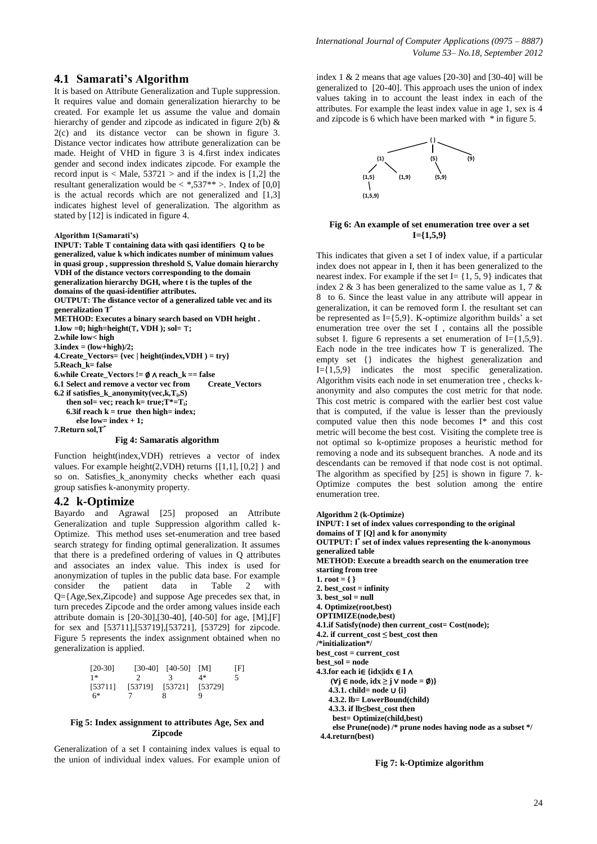### **4.1 Samarati's Algorithm**

It is based on Attribute Generalization and Tuple suppression. It requires value and domain generalization hierarchy to be created. For example let us assume the value and domain hierarchy of gender and zipcode as indicated in figure  $2(b)$  & 2(c) and its distance vector can be shown in figure 3. Distance vector indicates how attribute generalization can be made. Height of VHD in figure 3 is 4.first index indicates gender and second index indicates zipcode. For example the record input is  $\langle$  Male, 53721  $>$  and if the index is [1,2] the resultant generalization would be  $\langle *, 537^{**} \rangle$ . Index of [0,0] is the actual records which are not generalized and [1,3] indicates highest level of generalization. The algorithm as stated by [12] is indicated in figure 4.

#### **Algorithm 1(Samarati's)**

**INPUT: Table T containing data with qasi identifiers Q to be generalized, value k which indicates number of minimum values in quasi group , suppression threshold S, Value domain hierarchy VDH of the distance vectors corresponding to the domain generalization hierarchy DGH, where t is the tuples of the domains of the quasi-identifier attributes. OUTPUT: The distance vector of a generalized table vec and its generalization T \* METHOD: Executes a binary search based on VDH height . 1.low =0; high=height(**⊤**, VDH ); sol=** ⊤**; 2.while low< high 3.index = (low+high)/2; 4.Create\_Vectors= {vec | height(index,VDH ) = try} 5.Reach\_k= false 6.while Create\_Vectors !=** ∅ ∧ **reach\_k == false 6.1 Select and remove a vector vec from 6.2 if satisfies\_k\_anonymity(vec,k,Ti,S) then sol= vec; reach k= true;T\*=Ti;**  $6.3$ if reach  $k = true$  then high= index;  **else low= index + 1; 7.Return sol,T\* Fig 4: Samaratis algorithm**

Function height(index,VDH) retrieves a vector of index values. For example height(2,VDH) returns {[1,1], [0,2] } and so on. Satisfies\_k\_anonymity checks whether each quasi group satisfies k-anonymity property.

#### **4.2 k-Optimize**

Bayardo and Agrawal [25] proposed an Attribute Generalization and tuple Suppression algorithm called k-Optimize. This method uses set-enumeration and tree based search strategy for finding optimal generalization. It assumes that there is a predefined ordering of values in Q attributes and associates an index value. This index is used for anonymization of tuples in the public data base. For example<br>consider the patient data in Table 2 with consider the patient data in Table 2 with Q={Age,Sex,Zipcode} and suppose Age precedes sex that, in turn precedes Zipcode and the order among values inside each attribute domain is [20-30],[30-40], [40-50] for age, [M],[F] for sex and [53711],[53719],[53721], [53729] for zipcode. Figure 5 represents the index assignment obtained when no generalization is applied.

| $[20-30]$ |                         | $[30-40]$ $[40-50]$ | - IMI | ΙFΙ |
|-----------|-------------------------|---------------------|-------|-----|
| $1*$      |                         | 3.                  | 4*    |     |
| [53711]   | [53719] [53721] [53729] |                     |       |     |
| $6*$      |                         | 8                   | Q     |     |

#### **Fig 5: Index assignment to attributes Age, Sex and Zipcode**

Generalization of a set I containing index values is equal to the union of individual index values. For example union of index 1 & 2 means that age values [20-30] and [30-40] will be generalized to [20-40]. This approach uses the union of index values taking in to account the least index in each of the attributes. For example the least index value in age 1, sex is 4 and zipcode is 6 which have been marked with \* in figure 5.



#### **Fig 6: An example of set enumeration tree over a set I={1,5,9}**

This indicates that given a set I of index value, if a particular index does not appear in I, then it has been generalized to the nearest index. For example if the set  $I = \{1, 5, 9\}$  indicates that index 2  $\&$  3 has been generalized to the same value as 1, 7  $\&$ 8 to 6. Since the least value in any attribute will appear in generalization, it can be removed form I. the resultant set can be represented as  $I = \{5, 9\}$ . K-optimize algorithm builds' a set enumeration tree over the set I , contains all the possible subset I. figure 6 represents a set enumeration of  $I = \{1,5,9\}.$ Each node in the tree indicates how T is generalized. The empty set {} indicates the highest generalization and  $I = \{1,5,9\}$  indicates the most specific generalization. Algorithm visits each node in set enumeration tree , checks kanonymity and also computes the cost metric for that node. This cost metric is compared with the earlier best cost value that is computed, if the value is lesser than the previously computed value then this node becomes I\* and this cost metric will become the best cost. Visiting the complete tree is not optimal so k-optimize proposes a heuristic method for removing a node and its subsequent branches. A node and its descendants can be removed if that node cost is not optimal. The algorithm as specified by [25] is shown in figure 7. k-Optimize computes the best solution among the entire enumeration tree.

**Algorithm 2 (k-Optimize)**

```
INPUT: I set of index values corresponding to the original 
domains of T [Q] and k for anonymity
OUTPUT: I*
set of index values representing the k-anonymous 
generalized table
METHOD: Execute a breadth search on the enumeration tree 
starting from tree
1. root = { }
2. best_cost = infinity
3. best sol = null
4. Optimize(root,best)
OPTIMIZE(node,best)
4.1.if Satisfy(node) then current_cost= Cost(node);
4.2. if current_cost ≤ best_cost then 
/*initialization*/
best_cost = current_cost
best_sol = node
4.3.for each i∈ {idx|idx ∈ I ∧
     (∀j ∈ node, idx ≥ j ∨ node = ∅)} 
    4.3.1. child= node ∪ {i}
    4.3.2. lb= LowerBound(child)
    4.3.3. if lb≤best_cost then
     best= Optimize(child,best)
     else Prune(node) /* prune nodes having node as a subset */
  4.4.return(best)
```
**Fig 7: k-Optimize algorithm**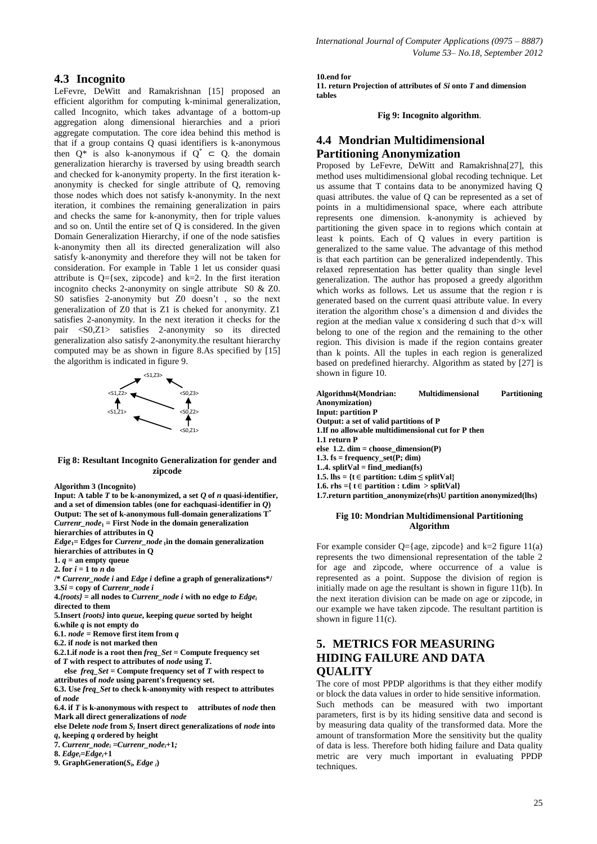### **4.3 Incognito**

LeFevre, DeWitt and Ramakrishnan [15] proposed an efficient algorithm for computing k-minimal generalization, called Incognito, which takes advantage of a bottom-up aggregation along dimensional hierarchies and a priori aggregate computation. The core idea behind this method is that if a group contains Q quasi identifiers is k-anonymous then  $Q^*$  is also k-anonymous if  $Q^* \subset Q$ , the domain generalization hierarchy is traversed by using breadth search and checked for k-anonymity property. In the first iteration kanonymity is checked for single attribute of Q, removing those nodes which does not satisfy k-anonymity. In the next iteration, it combines the remaining generalization in pairs and checks the same for k-anonymity, then for triple values and so on. Until the entire set of Q is considered. In the given Domain Generalization Hierarchy, if one of the node satisfies k-anonymity then all its directed generalization will also satisfy k-anonymity and therefore they will not be taken for consideration. For example in Table 1 let us consider quasi attribute is  $Q = \{sex, zipcode\}$  and  $k=2$ . In the first iteration incognito checks 2-anonymity on single attribute S0 & Z0. S0 satisfies 2-anonymity but Z0 doesn't , so the next generalization of Z0 that is Z1 is cheked for anonymity. Z1 satisfies 2-anonymity. In the next iteration it checks for the pair <S0,Z1> satisfies 2-anonymity so its directed generalization also satisfy 2-anonymity.the resultant hierarchy computed may be as shown in figure 8.As specified by [15] the algorithm is indicated in figure 9.



**Fig 8: Resultant Incognito Generalization for gender and zipcode**

#### **Algorithm 3 (Incognito)**

**Input:** A table  $T$  to be k-anonymized, a set  $Q$  of  $n$  quasi-identifier, **and a set of dimension tables (one for eachquasi-identifier in** *Q***) Output: The set of k-anonymous full-domain generalizations T\*** *Currenr\_node***<sup>1</sup> = First Node in the domain generalization hierarchies of attributes in Q**

*Edge***1= Edges for** *Currenr\_node* **<sup>1</sup>in the domain generalization hierarchies of attributes in Q** 

- **1.**  $q =$  an empty queue
- **2.** for  $i = 1$  to  $n$  do

**/\*** *Currenr\_node i* **and** *Edge i* **define a graph of generalizations\*/ 3.***Si* **= copy of** *Currenr\_node i*

- $4$ *{roots}* = all nodes to *Currenr\_node i* with no edge *to Edgei* **directed to them**
- **5.Insert** *{roots}* **into** *queue***, keeping** *queue* **sorted by height**
- **6.while** *q* **is not empty do**

 $6.1$ .  $node =$  Remove first item from *q* 

- **6.2. if** *node* **is not marked then**
- **6.2.1.if** *node* **is a root then** *freq\_Set* **= Compute frequency set of** *T* **with respect to attributes of** *node* **using** *T***.**
- **else** *freq\_Set* **= Compute frequency set of** *T* **with respect to attributes of** *node* **using parent's frequency set.**

**6.3. Use** *freq\_Set* **to check k-anonymity with respect to attributes of** *node*

**6.4. if** *T* **is k-anonymous with respect to attributes of** *node* **then Mark all direct generalizations of** *node*

**else Delete** *node* **from** *S<sup>i</sup>* **Insert direct generalizations of** *node* **into**  *q***, keeping** *q* **ordered by height**

**7.** *Currenr\_node<sup>i</sup> =Currenr\_nodei***+1***;*

**8.** *Edgei=Edgei***+1** 

9. GraphGeneration( $S_i$ , *Edge i*)

#### **10.end for**

**11. return Projection of attributes of** *Si* **onto** *T* **and dimension tables**

**Fig 9: Incognito algorithm**.

### **4.4 Mondrian Multidimensional Partitioning Anonymization**

Proposed by LeFevre, DeWitt and Ramakrishna[27], this method uses multidimensional global recoding technique. Let us assume that T contains data to be anonymized having Q quasi attributes. the value of Q can be represented as a set of points in a multidimensional space, where each attribute represents one dimension. k-anonymity is achieved by partitioning the given space in to regions which contain at least k points. Each of Q values in every partition is generalized to the same value. The advantage of this method is that each partition can be generalized independently. This relaxed representation has better quality than single level generalization. The author has proposed a greedy algorithm which works as follows. Let us assume that the region r is generated based on the current quasi attribute value. In every iteration the algorithm chose's a dimension d and divides the region at the median value x considering d such that d>x will belong to one of the region and the remaining to the other region. This division is made if the region contains greater than k points. All the tuples in each region is generalized based on predefined hierarchy. Algorithm as stated by [27] is shown in figure 10.

| Algorithm4(Mondrian:                                               | <b>Multidimensional</b>                         | <b>Partitioning</b> |
|--------------------------------------------------------------------|-------------------------------------------------|---------------------|
| <b>Anonymization</b> )                                             |                                                 |                     |
| <b>Input: partition P</b>                                          |                                                 |                     |
| Output: a set of valid partitions of P                             |                                                 |                     |
| 1. If no allowable multidimensional cut for P then                 |                                                 |                     |
| 1.1 return P                                                       |                                                 |                     |
| else $1.2$ . dim = choose_dimension(P)                             |                                                 |                     |
| 1.3. $fs = frequency \text{ set}(P; dim)$                          |                                                 |                     |
| 14. split $Val = find$ median(fs)                                  |                                                 |                     |
| 1.5. lhs = {t \ie partition: t.dim $\le$ splitVal}                 |                                                 |                     |
| 1.6. rhs ={ $t \in$ partition : t.dim > splitVal}                  |                                                 |                     |
| 1.7. return partition anonymize (rhs) U partition anonymized (lhs) |                                                 |                     |
|                                                                    | Fig. 10: Mondrian Multidimensional Partitioning |                     |

#### **Fig 10: Mondrian Multidimensional Partitioning Algorithm**

For example consider  $Q = \{ age, z in code \}$  and  $k=2$  figure 11(a) represents the two dimensional representation of the table 2 for age and zipcode, where occurrence of a value is represented as a point. Suppose the division of region is initially made on age the resultant is shown in figure 11(b). In the next iteration division can be made on age or zipcode, in our example we have taken zipcode. The resultant partition is shown in figure 11(c).

# **5. METRICS FOR MEASURING HIDING FAILURE AND DATA QUALITY**

The core of most PPDP algorithms is that they either modify or block the data values in order to hide sensitive information. Such methods can be measured with two important parameters, first is by its hiding sensitive data and second is by measuring data quality of the transformed data. More the amount of transformation More the sensitivity but the quality of data is less. Therefore both hiding failure and Data quality metric are very much important in evaluating PPDP techniques.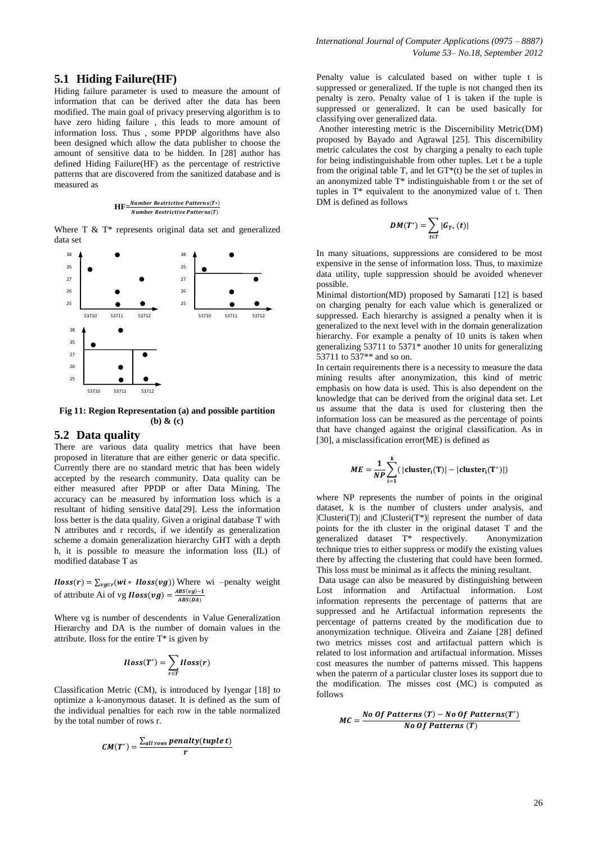### **5.1 Hiding Failure(HF)**

Hiding failure parameter is used to measure the amount of information that can be derived after the data has been modified. The main goal of privacy preserving algorithm is to have zero hiding failure , this leads to more amount of information loss. Thus , some PPDP algorithms have also been designed which allow the data publisher to choose the amount of sensitive data to be hidden. In [28] author has defined Hiding Failure(HF) as the percentage of restrictive patterns that are discovered from the sanitized database and is measured as

#### **HF**=*Number Restrictive Patterns(T\*)* Number Restrictive Patterns(T)

Where T & T\* represents original data set and generalized data set



**Fig 11: Region Representation (a) and possible partition (b) & (c)**

### **5.2 Data quality**

There are various data quality metrics that have been proposed in literature that are either generic or data specific. Currently there are no standard metric that has been widely accepted by the research community. Data quality can be either measured after PPDP or after Data Mining. The accuracy can be measured by information loss which is a resultant of hiding sensitive data[29]. Less the information loss better is the data quality. Given a original database T with N attributes and r records, if we identify as generalization scheme a domain generalization hierarchy GHT with a depth h, it is possible to measure the information loss (IL) of modified database T as

 $Iloss(r) = \sum_{vg \in r} (wi * Iloss(vg))$  Where wi –penalty weight of attribute Ai of vg **Iloss** $(vg) = \frac{A}{g}$ A

Where vg is number of descendents in Value Generalization Hierarchy and DA is the number of domain values in the attribute. Iloss for the entire T\* is given by

$$
Iloss(T^*) = \sum_{r \in T} Iloss(r)
$$

Classification Metric (CM), is introduced by Iyengar [18] to optimize a k-anonymous dataset. It is defined as the sum of the individual penalties for each row in the table normalized by the total number of rows r.

$$
CM(T^*) = \frac{\sum_{all\ rows} penalty(tuple\ t)}{r}
$$

Penalty value is calculated based on wither tuple t is suppressed or generalized. If the tuple is not changed then its penalty is zero. Penalty value of 1 is taken if the tuple is suppressed or generalized. It can be used basically for classifying over generalized data.

Another interesting metric is the Discernibility Metric(DM) proposed by Bayado and Agrawal [25]. This discernibility metric calculates the cost by charging a penalty to each tuple for being indistinguishable from other tuples. Let t be a tuple from the original table T, and let  $GT^*(t)$  be the set of tuples in an anonymized table T\* indistinguishable from t or the set of tuples in T\* equivalent to the anonymized value of t. Then DM is defined as follows

$$
DM(T^*)=\sum_{t\in T} |G_{T*}(t)|
$$

In many situations, suppressions are considered to be most expensive in the sense of information loss. Thus, to maximize data utility, tuple suppression should be avoided whenever possible.

Minimal distortion(MD) proposed by Samarati [12] is based on charging penalty for each value which is generalized or suppressed. Each hierarchy is assigned a penalty when it is generalized to the next level with in the domain generalization hierarchy. For example a penalty of 10 units is taken when generalizing  $53711$  to  $5371^*$  another 10 units for generalizing 53711 to 537\*\* and so on.

In certain requirements there is a necessity to measure the data mining results after anonymization, this kind of metric emphasis on how data is used. This is also dependent on the knowledge that can be derived from the original data set. Let us assume that the data is used for clustering then the information loss can be measured as the percentage of points that have changed against the original classification. As in [30], a misclassification error(ME) is defined as

$$
ME = \frac{1}{NP} \sum_{i=1}^{k} (|\text{cluster}_i(T)| - |\text{cluster}_i(T^*)|)
$$

where NP represents the number of points in the original dataset, k is the number of clusters under analysis, and  $|Clusteri(T)|$  and  $|Clusteri(T*)|$  represent the number of data points for the ith cluster in the original dataset T and the generalized dataset T\* respectively. Anonymization technique tries to either suppress or modify the existing values there by affecting the clustering that could have been formed. This loss must be minimal as it affects the mining resultant.

Data usage can also be measured by distinguishing between Lost information and Artifactual information. Lost information represents the percentage of patterns that are suppressed and he Artifactual information represents the percentage of patterns created by the modification due to anonymization technique. Oliveira and Zaiane [28] defined two metrics misses cost and artifactual pattern which is related to lost information and artifactual information. Misses cost measures the number of patterns missed. This happens when the paterrn of a particular cluster loses its support due to the modification. The misses cost (MC) is computed as follows

$$
MC = \frac{No\ Of\ Patterns\ (T) - No\ Of\ Patterns\ (T')}{No\ Of\ Patterns\ (T)}
$$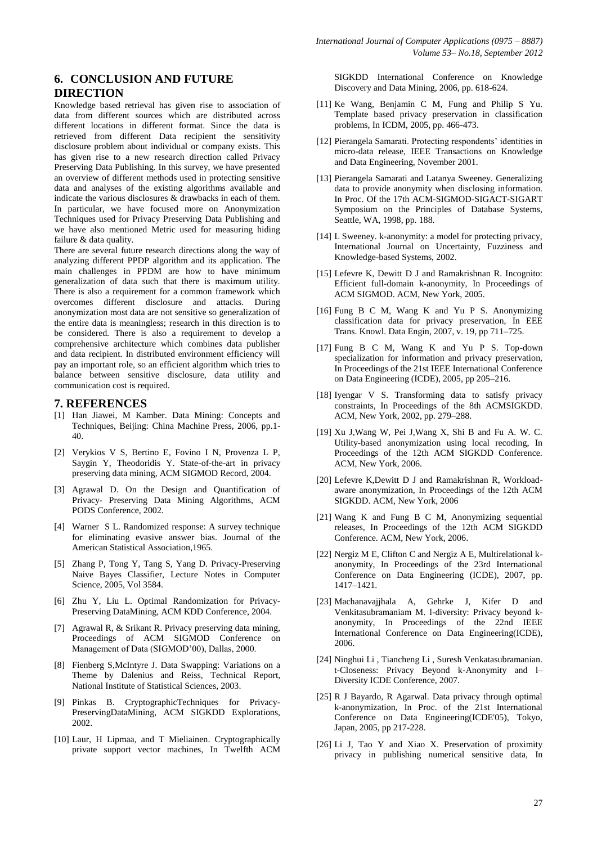# **6. CONCLUSION AND FUTURE DIRECTION**

Knowledge based retrieval has given rise to association of data from different sources which are distributed across different locations in different format. Since the data is retrieved from different Data recipient the sensitivity disclosure problem about individual or company exists. This has given rise to a new research direction called Privacy Preserving Data Publishing. In this survey, we have presented an overview of different methods used in protecting sensitive data and analyses of the existing algorithms available and indicate the various disclosures & drawbacks in each of them. In particular, we have focused more on Anonymization Techniques used for Privacy Preserving Data Publishing and we have also mentioned Metric used for measuring hiding failure & data quality.

There are several future research directions along the way of analyzing different PPDP algorithm and its application. The main challenges in PPDM are how to have minimum generalization of data such that there is maximum utility. There is also a requirement for a common framework which overcomes different disclosure and attacks. During anonymization most data are not sensitive so generalization of the entire data is meaningless; research in this direction is to be considered. There is also a requirement to develop a comprehensive architecture which combines data publisher and data recipient. In distributed environment efficiency will pay an important role, so an efficient algorithm which tries to balance between sensitive disclosure, data utility and communication cost is required.

### **7. REFERENCES**

- [1] Han Jiawei, M Kamber. Data Mining: Concepts and Techniques, Beijing: China Machine Press, 2006, pp.1- 40.
- [2] Verykios V S, Bertino E, Fovino I N, Provenza L P, Saygin Y, Theodoridis Y. State-of-the-art in privacy preserving data mining, ACM SIGMOD Record, 2004.
- [3] Agrawal D. On the Design and Quantification of Privacy- Preserving Data Mining Algorithms, ACM PODS Conference, 2002.
- [4] Warner S L. Randomized response: A survey technique for eliminating evasive answer bias. Journal of the American Statistical Association,1965.
- [5] Zhang P, Tong Y, Tang S, Yang D. Privacy-Preserving Naive Bayes Classifier, Lecture Notes in Computer Science, 2005, Vol 3584.
- [6] Zhu Y, Liu L. Optimal Randomization for Privacy-Preserving DataMining, ACM KDD Conference, 2004.
- [7] Agrawal R, & Srikant R. Privacy preserving data mining, Proceedings of ACM SIGMOD Conference on Management of Data (SIGMOD'00), Dallas, 2000.
- [8] Fienberg S,McIntyre J. Data Swapping: Variations on a Theme by Dalenius and Reiss, Technical Report, National Institute of Statistical Sciences, 2003.
- [9] Pinkas B. CryptographicTechniques for Privacy-PreservingDataMining, ACM SIGKDD Explorations, 2002.
- [10] Laur, H Lipmaa, and T Mieliainen. Cryptographically private support vector machines, In Twelfth ACM

SIGKDD International Conference on Knowledge Discovery and Data Mining, 2006, pp. 618-624.

- [11] Ke Wang, Benjamin C M, Fung and Philip S Yu. Template based privacy preservation in classification problems, In ICDM, 2005, pp. 466-473.
- [12] Pierangela Samarati. Protecting respondents' identities in micro-data release, IEEE Transactions on Knowledge and Data Engineering, November 2001.
- [13] Pierangela Samarati and Latanya Sweeney. Generalizing data to provide anonymity when disclosing information. In Proc. Of the 17th ACM-SIGMOD-SIGACT-SIGART Symposium on the Principles of Database Systems, Seattle, WA, 1998, pp. 188.
- [14] L Sweeney. k-anonymity: a model for protecting privacy, International Journal on Uncertainty, Fuzziness and Knowledge-based Systems, 2002.
- [15] Lefevre K, Dewitt D J and Ramakrishnan R. Incognito: Efficient full-domain k-anonymity, In Proceedings of ACM SIGMOD. ACM, New York, 2005.
- [16] Fung B C M, Wang K and Yu P S. Anonymizing classification data for privacy preservation, In EEE Trans. Knowl. Data Engin, 2007, v. 19, pp 711–725.
- [17] Fung B C M, Wang K and Yu P S. Top-down specialization for information and privacy preservation, In Proceedings of the 21st IEEE International Conference on Data Engineering (ICDE), 2005, pp 205–216.
- [18] Iyengar V S. Transforming data to satisfy privacy constraints, In Proceedings of the 8th ACMSIGKDD. ACM, New York, 2002, pp. 279–288.
- [19] Xu J,Wang W, Pei J,Wang X, Shi B and Fu A. W. C. Utility-based anonymization using local recoding, In Proceedings of the 12th ACM SIGKDD Conference. ACM, New York, 2006.
- [20] Lefevre K,Dewitt D J and Ramakrishnan R, Workloadaware anonymization, In Proceedings of the 12th ACM SIGKDD. ACM, New York, 2006
- [21] Wang K and Fung B C M, Anonymizing sequential releases, In Proceedings of the 12th ACM SIGKDD Conference. ACM, New York, 2006.
- [22] Nergiz M E, Clifton C and Nergiz A E, Multirelational kanonymity, In Proceedings of the 23rd International Conference on Data Engineering (ICDE), 2007, pp. 1417–1421.
- [23] Machanavajjhala A, Gehrke J, Kifer D and Venkitasubramaniam M. l-diversity: Privacy beyond kanonymity, In Proceedings of the 22nd IEEE International Conference on Data Engineering(ICDE), 2006.
- [24] Ninghui Li , Tiancheng Li , Suresh Venkatasubramanian. t-Closeness: Privacy Beyond k-Anonymity and l– Diversity ICDE Conference, 2007.
- [25] R J Bayardo, R Agarwal. Data privacy through optimal k-anonymization, In Proc. of the 21st International Conference on Data Engineering(ICDE'05), Tokyo, Japan, 2005, pp 217-228.
- [26] Li J, Tao Y and Xiao X. Preservation of proximity privacy in publishing numerical sensitive data, In